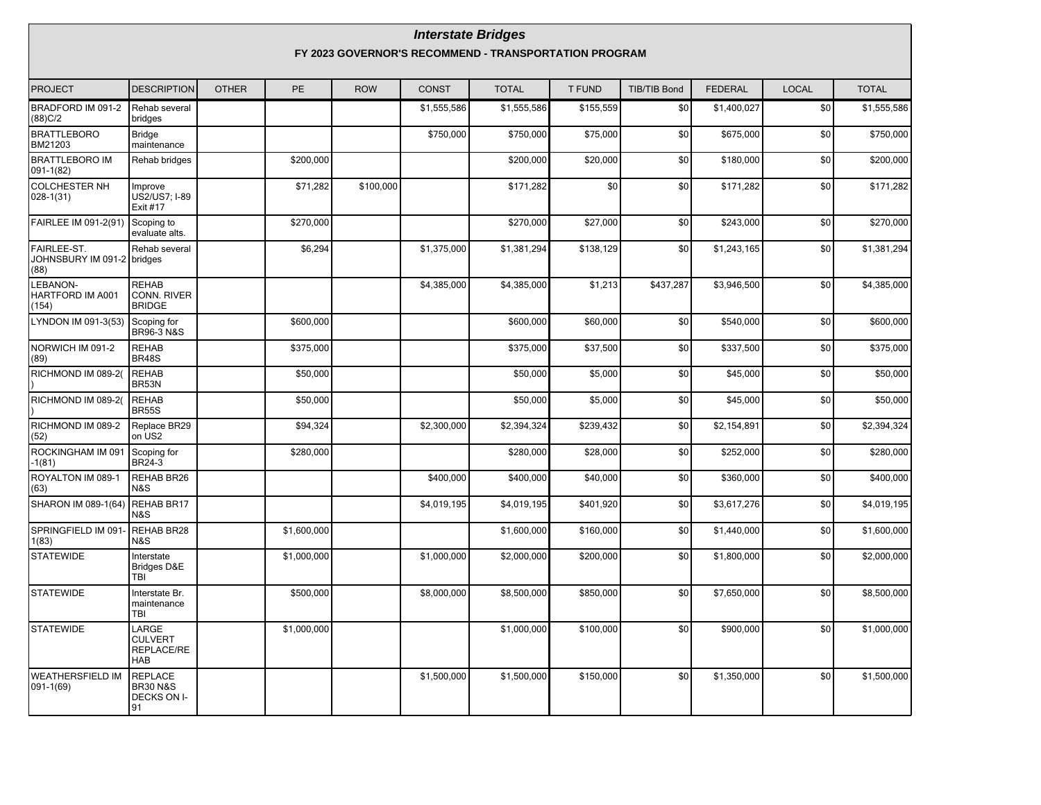#### **Interstate Bridges**

**FY 2023 GOVERNOR'S RECOMMEND - TRANSPORTATION PROGRAM**

| <b>PROJECT</b>                                    | <b>DESCRIPTION</b>                                          | <b>OTHER</b> | PE          | <b>ROW</b> | <b>CONST</b> | <b>TOTAL</b> | <b>T FUND</b> | <b>TIB/TIB Bond</b> | <b>FEDERAL</b> | <b>LOCAL</b>    | <b>TOTAL</b> |
|---------------------------------------------------|-------------------------------------------------------------|--------------|-------------|------------|--------------|--------------|---------------|---------------------|----------------|-----------------|--------------|
| BRADFORD IM 091-2<br>(88)C/2                      | Rehab several<br>bridges                                    |              |             |            | \$1,555,586  | \$1,555,586  | \$155,559     | \$0                 | \$1,400,027    | $\overline{50}$ | \$1,555,586  |
| <b>BRATTLEBORO</b><br>BM21203                     | <b>Bridge</b><br>maintenance                                |              |             |            | \$750,000    | \$750,000    | \$75,000      | \$0                 | \$675,000      | \$0             | \$750,000    |
| <b>BRATTLEBORO IM</b><br>$091-1(82)$              | Rehab bridges                                               |              | \$200,000   |            |              | \$200,000    | \$20,000      | \$0                 | \$180,000      | \$0             | \$200,000    |
| <b>COLCHESTER NH</b><br>$028-1(31)$               | Improve<br>US2/US7; I-89<br>Exit #17                        |              | \$71,282    | \$100,000  |              | \$171,282    | \$0           | \$0                 | \$171,282      | \$0             | \$171,282    |
| FAIRLEE IM 091-2(91)                              | Scoping to<br>evaluate alts.                                |              | \$270,000   |            |              | \$270,000    | \$27,000      | \$0                 | \$243,000      | \$0             | \$270,000    |
| FAIRLEE-ST.<br>JOHNSBURY IM 091-2 bridges<br>(88) | Rehab several                                               |              | \$6,294     |            | \$1,375,000  | \$1,381,294  | \$138,129     | \$0                 | \$1,243,165    | \$0             | \$1,381,294  |
| LEBANON-<br>HARTFORD IM A001<br>(154)             | <b>REHAB</b><br><b>CONN. RIVER</b><br><b>BRIDGE</b>         |              |             |            | \$4,385,000  | \$4,385,000  | \$1,213       | \$437,287           | \$3,946,500    | \$0             | \$4,385,000  |
| LYNDON IM 091-3(53)                               | Scoping for<br><b>BR96-3 N&amp;S</b>                        |              | \$600,000   |            |              | \$600,000    | \$60,000      | \$0                 | \$540,000      | \$0             | \$600,000    |
| NORWICH IM 091-2<br>(89)                          | <b>REHAB</b><br><b>BR48S</b>                                |              | \$375,000   |            |              | \$375,000    | \$37,500      | \$0                 | \$337.500      | \$0             | \$375,000    |
| RICHMOND IM 089-2(                                | <b>REHAB</b><br>BR53N                                       |              | \$50,000    |            |              | \$50,000     | \$5,000       | \$0                 | \$45,000       | \$0             | \$50,000     |
| RICHMOND IM 089-2(                                | <b>REHAB</b><br><b>BR55S</b>                                |              | \$50,000    |            |              | \$50,000     | \$5,000       | \$0                 | \$45,000       | \$0             | \$50,000     |
| RICHMOND IM 089-2<br>(52)                         | Replace BR29<br>on US2                                      |              | \$94,324    |            | \$2,300,000  | \$2,394,324  | \$239,432     | \$0                 | \$2,154,891    | \$0             | \$2,394,324  |
| ROCKINGHAM IM 091<br>-1(81)                       | Scoping for<br><b>BR24-3</b>                                |              | \$280,000   |            |              | \$280,000    | \$28,000      | \$0                 | \$252,000      | \$0             | \$280,000    |
| ROYALTON IM 089-1<br>(63)                         | REHAB BR26<br>N&S                                           |              |             |            | \$400,000    | \$400,000    | \$40,000      | \$0                 | \$360,000      | \$0             | \$400,000    |
| SHARON IM 089-1(64)                               | REHAB BR17<br>N&S                                           |              |             |            | \$4,019,195  | \$4.019.195  | \$401.920     | \$0                 | \$3.617.276    | \$0             | \$4.019.195  |
| SPRINGFIELD IM 091-<br>1(83)                      | REHAB BR28<br>N&S                                           |              | \$1,600,000 |            |              | \$1,600,000  | \$160,000     | \$0                 | \$1,440,000    | \$0             | \$1,600,000  |
| <b>STATEWIDE</b>                                  | Interstate<br>Bridges D&E<br>TBI                            |              | \$1.000.000 |            | \$1,000,000  | \$2,000,000  | \$200,000     | \$0                 | \$1,800,000    | \$0             | \$2,000,000  |
| <b>STATEWIDE</b>                                  | Interstate Br.<br>maintenance<br>TBI                        |              | \$500,000   |            | \$8,000,000  | \$8,500,000  | \$850,000     | \$0                 | \$7.650.000    | \$0             | \$8,500,000  |
| <b>STATEWIDE</b>                                  | LARGE<br><b>CULVERT</b><br>REPLACE/RE<br><b>HAB</b>         |              | \$1,000,000 |            |              | \$1,000,000  | \$100,000     | \$0                 | \$900,000      | \$0             | \$1,000,000  |
| <b>WEATHERSFIELD IM</b><br>091-1(69)              | <b>REPLACE</b><br><b>BR30 N&amp;S</b><br>DECKS ON I-<br>191 |              |             |            | \$1,500,000  | \$1,500,000  | \$150,000     | \$0                 | \$1,350,000    | \$0             | \$1,500,000  |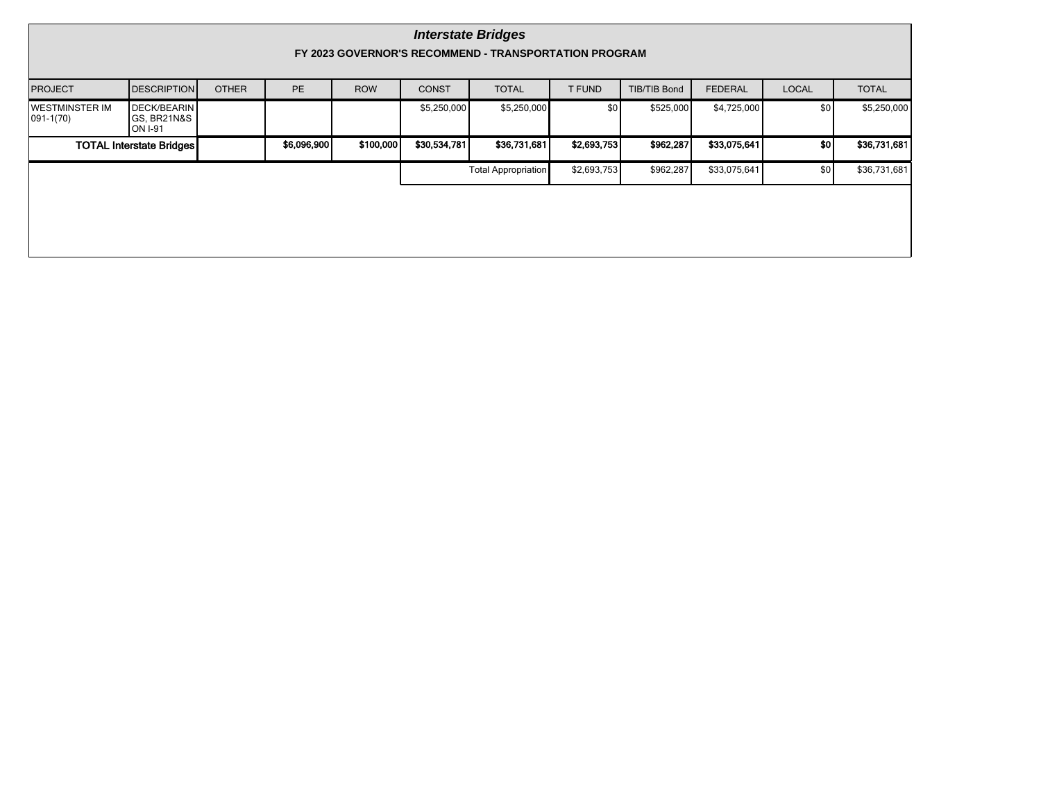|                                         | <b>Interstate Bridges</b><br>FY 2023 GOVERNOR'S RECOMMEND - TRANSPORTATION PROGRAM |              |             |            |              |                            |               |                     |                |                  |              |  |  |  |
|-----------------------------------------|------------------------------------------------------------------------------------|--------------|-------------|------------|--------------|----------------------------|---------------|---------------------|----------------|------------------|--------------|--|--|--|
| <b>PROJECT</b>                          | <b>DESCRIPTION</b>                                                                 | <b>OTHER</b> | <b>PE</b>   | <b>ROW</b> | <b>CONST</b> | <b>TOTAL</b>               | <b>T FUND</b> | <b>TIB/TIB Bond</b> | <b>FEDERAL</b> | <b>LOCAL</b>     | <b>TOTAL</b> |  |  |  |
| <b>IWESTMINSTER IM</b><br>$ 091-1(70) $ | <b>DECK/BEARIN</b><br>GS, BR21N&S<br>ON 1-91                                       |              |             |            | \$5,250,000  | \$5,250,000                | \$0           | \$525,000           | \$4,725,000    | \$0 <sub>l</sub> | \$5,250,000  |  |  |  |
|                                         | <b>TOTAL Interstate Bridges</b>                                                    |              | \$6,096,900 | \$100,000  | \$30,534,781 | \$36,731,681               | \$2,693,753   | \$962,287           | \$33,075,641   | so               | \$36,731,681 |  |  |  |
|                                         |                                                                                    |              |             |            |              | <b>Total Appropriation</b> | \$2,693,753   | \$962,287           | \$33,075,641   | \$0              | \$36,731,681 |  |  |  |
|                                         |                                                                                    |              |             |            |              |                            |               |                     |                |                  |              |  |  |  |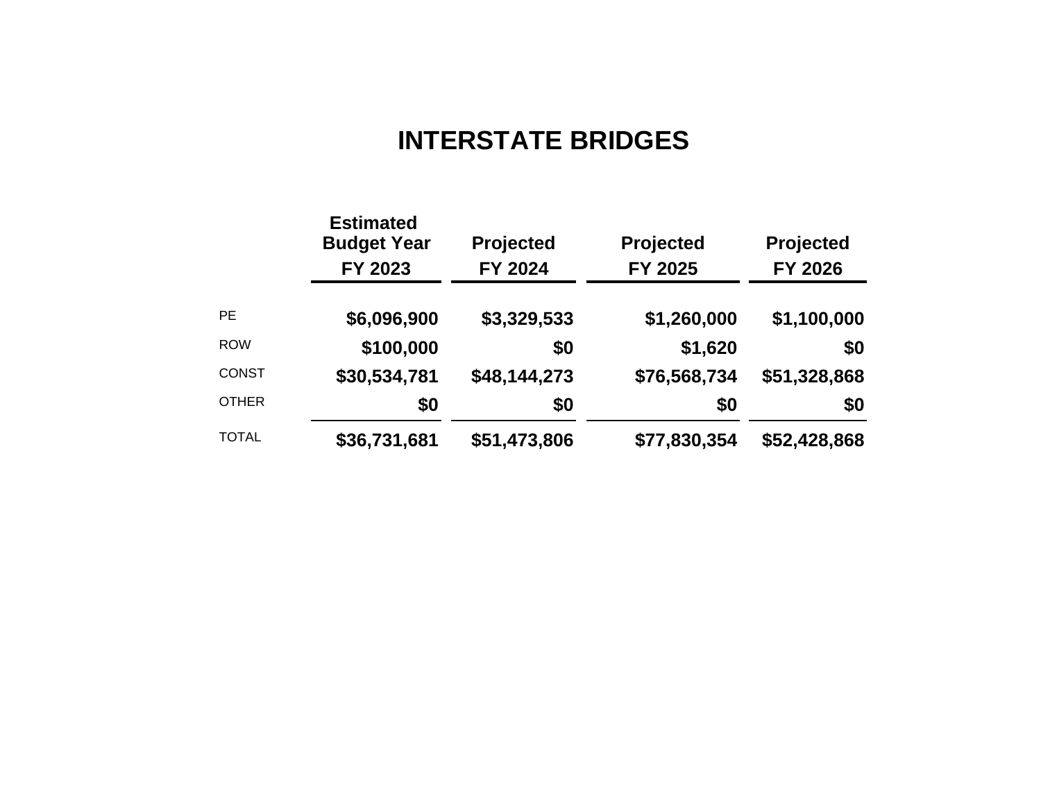# **INTERSTATE BRIDGES**

|              | <b>Estimated</b><br><b>Budget Year</b><br>FY 2023 | <b>Projected</b><br>FY 2024 | Projected<br>FY 2025 | <b>Projected</b><br><b>FY 2026</b> |
|--------------|---------------------------------------------------|-----------------------------|----------------------|------------------------------------|
| <b>PE</b>    | \$6,096,900                                       | \$3,329,533                 | \$1,260,000          | \$1,100,000                        |
| <b>ROW</b>   | \$100,000                                         | \$0                         | \$1,620              | \$0                                |
| <b>CONST</b> | \$30,534,781                                      | \$48,144,273                | \$76,568,734         | \$51,328,868                       |
| <b>OTHER</b> | \$0                                               | \$0                         | \$0                  | \$0                                |
| <b>TOTAL</b> | \$36,731,681                                      | \$51,473,806                | \$77,830,354         | \$52,428,868                       |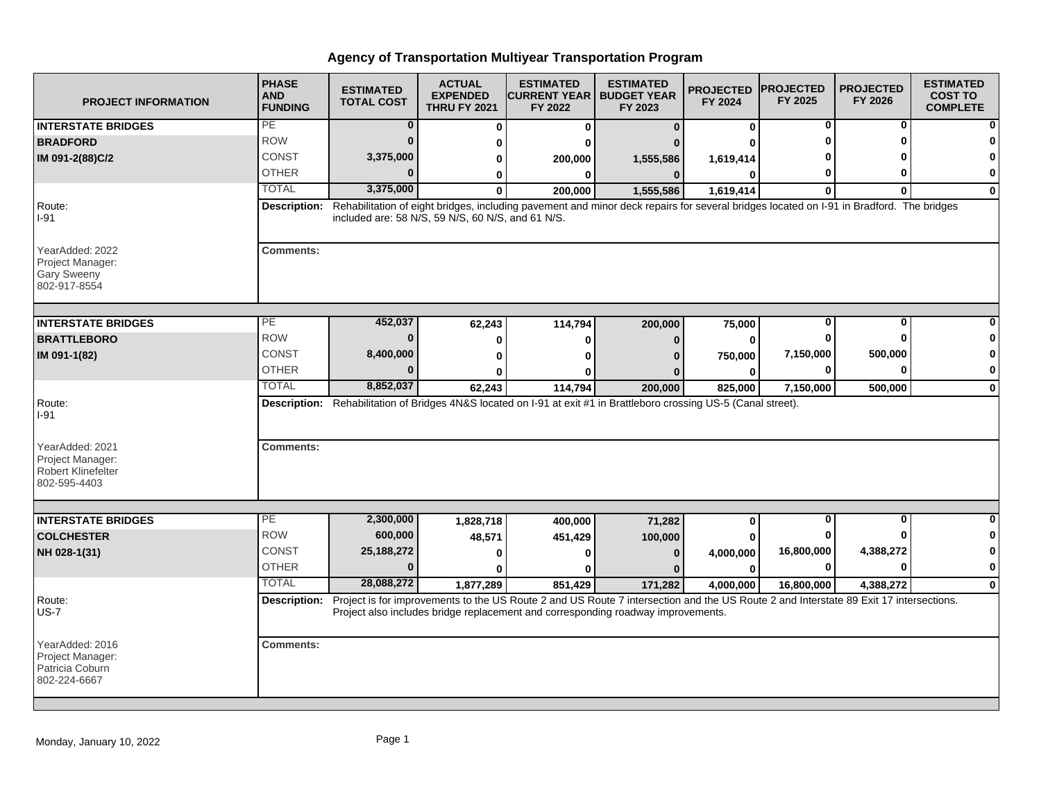| <b>PROJECT INFORMATION</b>                                                | <b>PHASE</b><br><b>AND</b><br><b>FUNDING</b> | <b>ESTIMATED</b><br><b>TOTAL COST</b>             | <b>ACTUAL</b><br><b>EXPENDED</b><br><b>THRU FY 2021</b> | <b>ESTIMATED</b><br><b>CURRENT YEAR   BUDGET YEAR</b><br>FY 2022                                                                                                                                                                       | <b>ESTIMATED</b><br>FY 2023 | <b>PROJECTED</b><br>FY 2024 | <b>PROJECTED</b><br>FY 2025 | <b>PROJECTED</b><br>FY 2026 | <b>ESTIMATED</b><br><b>COST TO</b><br><b>COMPLETE</b> |
|---------------------------------------------------------------------------|----------------------------------------------|---------------------------------------------------|---------------------------------------------------------|----------------------------------------------------------------------------------------------------------------------------------------------------------------------------------------------------------------------------------------|-----------------------------|-----------------------------|-----------------------------|-----------------------------|-------------------------------------------------------|
| <b>INTERSTATE BRIDGES</b>                                                 | PE                                           | $\bf{0}$                                          | 0                                                       | 0                                                                                                                                                                                                                                      | $\Omega$                    | $\bf{0}$                    | 0                           | 0                           |                                                       |
| <b>BRADFORD</b>                                                           | <b>ROW</b>                                   | n                                                 | 0                                                       |                                                                                                                                                                                                                                        |                             |                             | 0                           | ŋ                           |                                                       |
| IM 091-2(88)C/2                                                           | <b>CONST</b>                                 | 3,375,000                                         | 0                                                       | 200,000                                                                                                                                                                                                                                | 1,555,586                   | 1,619,414                   |                             |                             |                                                       |
|                                                                           | <b>OTHER</b>                                 |                                                   | 0                                                       | 0                                                                                                                                                                                                                                      | $\Omega$                    | O                           | Ω                           | ŋ                           | O                                                     |
|                                                                           | <b>TOTAL</b>                                 | 3,375,000                                         | <sup>0</sup>                                            | 200.000                                                                                                                                                                                                                                | 1,555,586                   | 1,619,414                   | $\bf{0}$                    | 0                           | $\bf{0}$                                              |
| Route:<br>$I-91$                                                          | Description:                                 | included are: 58 N/S, 59 N/S, 60 N/S, and 61 N/S. |                                                         | Rehabilitation of eight bridges, including pavement and minor deck repairs for several bridges located on I-91 in Bradford. The bridges                                                                                                |                             |                             |                             |                             |                                                       |
| YearAdded: 2022<br>Project Manager:<br><b>Gary Sweeny</b><br>802-917-8554 | <b>Comments:</b>                             |                                                   |                                                         |                                                                                                                                                                                                                                        |                             |                             |                             |                             |                                                       |
| <b>INTERSTATE BRIDGES</b>                                                 | <b>PE</b>                                    | 452,037                                           | 62,243                                                  | 114,794                                                                                                                                                                                                                                | 200,000                     | 75,000                      | 0                           | 0                           |                                                       |
| <b>BRATTLEBORO</b>                                                        | <b>ROW</b>                                   |                                                   | 0                                                       | o                                                                                                                                                                                                                                      | n                           | $\bf{0}$                    | 0                           | 0                           |                                                       |
| IM 091-1(82)                                                              | CONST                                        | 8,400,000                                         | 0                                                       |                                                                                                                                                                                                                                        |                             | 750,000                     | 7,150,000                   | 500,000                     |                                                       |
|                                                                           | <b>OTHER</b>                                 |                                                   | 0                                                       |                                                                                                                                                                                                                                        |                             | $\bf{0}$                    | 0                           | $\bf{0}$                    | 0                                                     |
|                                                                           | <b>TOTAL</b>                                 | 8,852,037                                         | 62,243                                                  | 114,794                                                                                                                                                                                                                                | 200,000                     | 825,000                     | 7,150,000                   | 500,000                     | $\bf{0}$                                              |
| Route:<br>$I-91$<br>YearAdded: 2021<br>Project Manager:                   | <b>Comments:</b>                             |                                                   |                                                         | Description: Rehabilitation of Bridges 4N&S located on I-91 at exit #1 in Brattleboro crossing US-5 (Canal street).                                                                                                                    |                             |                             |                             |                             |                                                       |
| Robert Klinefelter<br>802-595-4403                                        |                                              |                                                   |                                                         |                                                                                                                                                                                                                                        |                             |                             |                             |                             |                                                       |
| <b>INTERSTATE BRIDGES</b>                                                 | PE                                           | 2,300,000                                         | 1,828,718                                               | 400,000                                                                                                                                                                                                                                | 71,282                      | 0                           | $\overline{0}$              | $\overline{0}$              |                                                       |
| <b>COLCHESTER</b>                                                         | <b>ROW</b>                                   | 600,000                                           | 48,571                                                  | 451,429                                                                                                                                                                                                                                | 100,000                     | 0                           | 0                           |                             |                                                       |
| NH 028-1(31)                                                              | <b>CONST</b>                                 | 25,188,272                                        | 0                                                       |                                                                                                                                                                                                                                        | $\Omega$                    | 4,000,000                   | 16,800,000                  | 4,388,272                   |                                                       |
|                                                                           | <b>OTHER</b>                                 | $\bf{0}$                                          | 0                                                       |                                                                                                                                                                                                                                        |                             | $\bf{0}$                    | 0                           | 0                           | $\mathbf 0$                                           |
|                                                                           | <b>TOTAL</b>                                 | 28,088,272                                        | 1,877,289                                               | 851,429                                                                                                                                                                                                                                | 171,282                     | 4,000,000                   | 16,800,000                  | 4,388,272                   | $\Omega$                                              |
| Route:<br>$US-7$                                                          |                                              |                                                   |                                                         | Description: Project is for improvements to the US Route 2 and US Route 7 intersection and the US Route 2 and Interstate 89 Exit 17 intersections.<br>Project also includes bridge replacement and corresponding roadway improvements. |                             |                             |                             |                             |                                                       |
| YearAdded: 2016<br>Project Manager:<br>Patricia Coburn<br>802-224-6667    | <b>Comments:</b>                             |                                                   |                                                         |                                                                                                                                                                                                                                        |                             |                             |                             |                             |                                                       |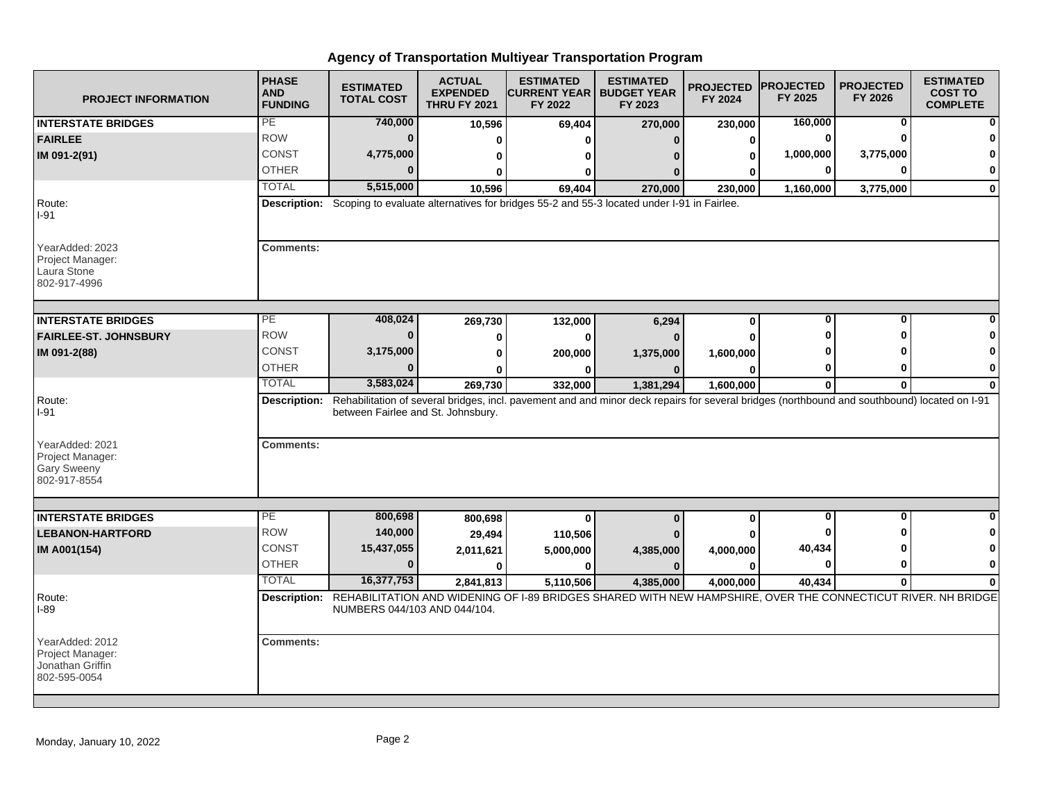| <b>PROJECT INFORMATION</b>                                                | <b>PHASE</b><br><b>AND</b><br><b>FUNDING</b> | <b>ESTIMATED</b><br><b>TOTAL COST</b> | <b>ACTUAL</b><br><b>EXPENDED</b><br><b>THRU FY 2021</b> | <b>ESTIMATED</b><br><b>CURRENT YEAR   BUDGET YEAR</b><br>FY 2022                                                                                          | <b>ESTIMATED</b><br>FY 2023 | <b>PROJECTED</b><br>FY 2024 | <b>PROJECTED</b><br>FY 2025 | <b>PROJECTED</b><br>FY 2026 | <b>ESTIMATED</b><br><b>COST TO</b><br><b>COMPLETE</b> |
|---------------------------------------------------------------------------|----------------------------------------------|---------------------------------------|---------------------------------------------------------|-----------------------------------------------------------------------------------------------------------------------------------------------------------|-----------------------------|-----------------------------|-----------------------------|-----------------------------|-------------------------------------------------------|
| <b>INTERSTATE BRIDGES</b>                                                 | PE                                           | 740,000                               | 10,596                                                  | 69,404                                                                                                                                                    | 270,000                     | 230,000                     | 160,000                     | 0                           |                                                       |
| <b>FAIRLEE</b>                                                            | <b>ROW</b>                                   | $\bf{0}$                              | 0                                                       |                                                                                                                                                           |                             | 0                           | $\bf{0}$                    | 0                           |                                                       |
| IM 091-2(91)                                                              | <b>CONST</b>                                 | 4,775,000                             | 0                                                       | 0                                                                                                                                                         |                             | 0                           | 1,000,000                   | 3,775,000                   |                                                       |
|                                                                           | <b>OTHER</b>                                 | $\bf{0}$                              | U                                                       | 0                                                                                                                                                         |                             |                             | 0                           | 0                           | 0                                                     |
|                                                                           | <b>TOTAL</b>                                 | 5,515,000                             | 10,596                                                  | 69.404                                                                                                                                                    | 270.000                     | 230,000                     | 1,160,000                   | 3,775,000                   | $\bf{0}$                                              |
| Route:<br>I-91                                                            |                                              |                                       |                                                         | Description: Scoping to evaluate alternatives for bridges 55-2 and 55-3 located under I-91 in Fairlee.                                                    |                             |                             |                             |                             |                                                       |
| YearAdded: 2023<br>Project Manager:<br>Laura Stone<br>802-917-4996        | <b>Comments:</b>                             |                                       |                                                         |                                                                                                                                                           |                             |                             |                             |                             |                                                       |
| <b>INTERSTATE BRIDGES</b>                                                 | $\overline{PE}$                              | 408,024                               | 269,730                                                 | 132,000                                                                                                                                                   | 6,294                       | $\bf{0}$                    | $\bf{0}$                    | $\bf{0}$                    |                                                       |
| <b>FAIRLEE-ST. JOHNSBURY</b>                                              | <b>ROW</b>                                   | $\bf{0}$                              | 0                                                       | $\bf{0}$                                                                                                                                                  |                             | U                           | Λ                           | ŋ                           |                                                       |
| IM 091-2(88)                                                              | CONST                                        | 3,175,000                             | 0                                                       | 200,000                                                                                                                                                   | 1,375,000                   | 1,600,000                   |                             |                             |                                                       |
|                                                                           | <b>OTHER</b>                                 | $\bf{0}$                              |                                                         |                                                                                                                                                           |                             | ŋ                           | 0                           | 0                           | 0                                                     |
|                                                                           | <b>TOTAL</b>                                 | 3,583,024                             | 269,730                                                 | 332,000                                                                                                                                                   | 1,381,294                   | 1,600,000                   | $\mathbf{0}$                | $\mathbf{0}$                | $\bf{0}$                                              |
| Route:<br>I-91                                                            |                                              | between Fairlee and St. Johnsbury.    |                                                         | Description: Rehabilitation of several bridges, incl. pavement and and minor deck repairs for several bridges (northbound and southbound) located on I-91 |                             |                             |                             |                             |                                                       |
| YearAdded: 2021<br>Project Manager:<br><b>Gary Sweeny</b><br>802-917-8554 | <b>Comments:</b>                             |                                       |                                                         |                                                                                                                                                           |                             |                             |                             |                             |                                                       |
| <b>INTERSTATE BRIDGES</b>                                                 | PE                                           | 800,698                               |                                                         | $\mathbf{0}$                                                                                                                                              | $\bf{0}$                    |                             | $\bf{0}$                    | $\mathbf{0}$                | $\bf{0}$                                              |
| <b>LEBANON-HARTFORD</b>                                                   | <b>ROW</b>                                   | 140,000                               | 800,698                                                 |                                                                                                                                                           |                             | $\bf{0}$                    | o                           | ŋ                           | 0                                                     |
|                                                                           | <b>CONST</b>                                 | 15,437,055                            | 29,494                                                  | 110,506                                                                                                                                                   |                             |                             | 40,434                      | ŋ                           |                                                       |
| IM A001(154)                                                              | <b>OTHER</b>                                 | $\bf{0}$                              | 2,011,621<br>$\bf{0}$                                   | 5,000,000<br>$\bf{0}$                                                                                                                                     | 4,385,000<br>$\mathbf{0}$   | 4,000,000<br>O              | 0                           | 0                           | 0                                                     |
|                                                                           | <b>TOTAL</b>                                 | 16,377,753                            | 2,841,813                                               | 5,110,506                                                                                                                                                 | 4,385,000                   | 4.000.000                   | 40,434                      | $\mathbf{0}$                |                                                       |
| Route:<br>I-89                                                            |                                              | NUMBERS 044/103 AND 044/104.          |                                                         | Description: REHABILITATION AND WIDENING OF I-89 BRIDGES SHARED WITH NEW HAMPSHIRE, OVER THE CONNECTICUT RIVER. NH BRIDGE                                 |                             |                             |                             |                             |                                                       |
| YearAdded: 2012<br>Project Manager:<br>Jonathan Griffin<br>802-595-0054   | <b>Comments:</b>                             |                                       |                                                         |                                                                                                                                                           |                             |                             |                             |                             |                                                       |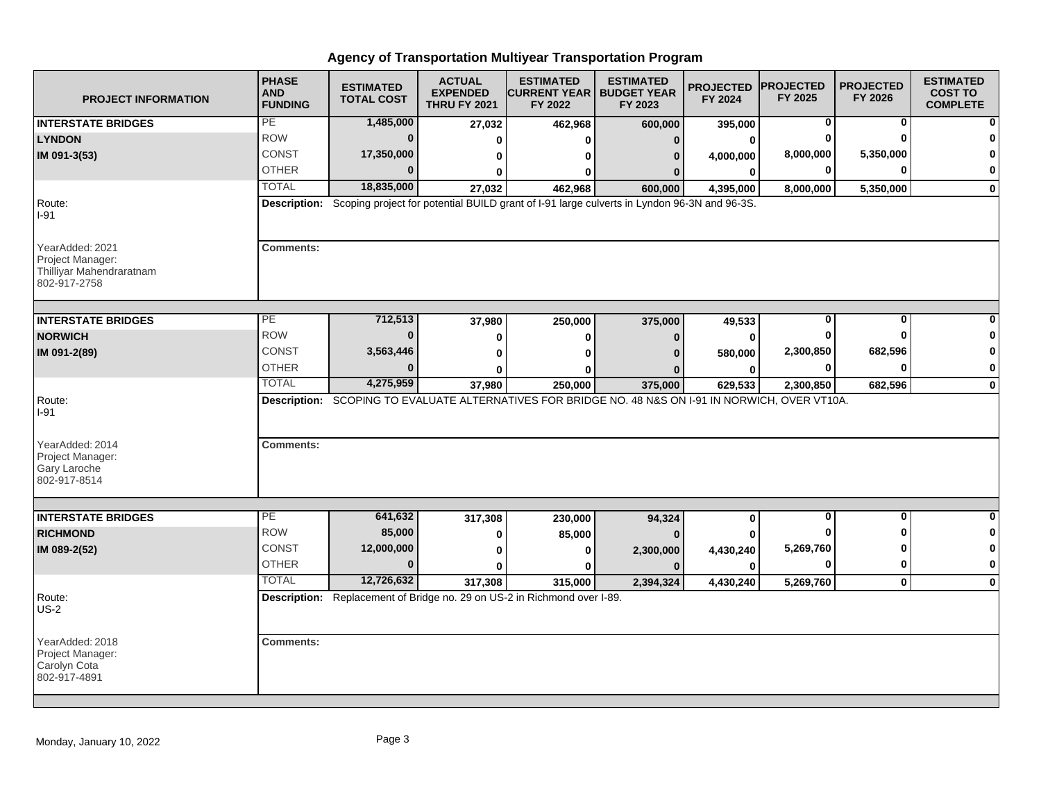| <b>PROJECT INFORMATION</b>                                                      | <b>PHASE</b><br><b>AND</b><br><b>FUNDING</b> | <b>ESTIMATED</b><br><b>TOTAL COST</b> | <b>ACTUAL</b><br><b>EXPENDED</b><br><b>THRU FY 2021</b> | <b>ESTIMATED</b><br><b>CURRENT YEAR   BUDGET YEAR</b><br>FY 2022                                         | <b>ESTIMATED</b><br>FY 2023 | <b>PROJECTED</b><br>FY 2024 | <b>PROJECTED</b><br>FY 2025 | <b>PROJECTED</b><br>FY 2026 | <b>ESTIMATED</b><br><b>COST TO</b><br><b>COMPLETE</b> |
|---------------------------------------------------------------------------------|----------------------------------------------|---------------------------------------|---------------------------------------------------------|----------------------------------------------------------------------------------------------------------|-----------------------------|-----------------------------|-----------------------------|-----------------------------|-------------------------------------------------------|
| <b>INTERSTATE BRIDGES</b>                                                       | PE                                           | 1,485,000                             | 27,032                                                  | 462,968                                                                                                  | 600,000                     | 395,000                     | 0                           | $\mathbf 0$                 |                                                       |
| <b>LYNDON</b>                                                                   | <b>ROW</b>                                   | $\bf{0}$                              | 0                                                       | ŋ                                                                                                        | 0                           | 0                           | $\bf{0}$                    | 0                           |                                                       |
| IM 091-3(53)                                                                    | <b>CONST</b>                                 | 17,350,000                            | 0                                                       | 0                                                                                                        | 0                           | 4,000,000                   | 8,000,000                   | 5,350,000                   |                                                       |
|                                                                                 | <b>OTHER</b>                                 | $\bf{0}$                              | U                                                       | 0                                                                                                        |                             | $\bf{0}$                    | 0                           | 0                           | 0                                                     |
|                                                                                 | <b>TOTAL</b>                                 | 18,835,000                            | 27,032                                                  | 462,968                                                                                                  | 600,000                     | 4,395,000                   | 8,000,000                   | 5,350,000                   | $\bf{0}$                                              |
| Route:<br>I-91                                                                  |                                              |                                       |                                                         | Description: Scoping project for potential BUILD grant of I-91 large culverts in Lyndon 96-3N and 96-3S. |                             |                             |                             |                             |                                                       |
| YearAdded: 2021<br>Project Manager:<br>Thilliyar Mahendraratnam<br>802-917-2758 | <b>Comments:</b>                             |                                       |                                                         |                                                                                                          |                             |                             |                             |                             |                                                       |
| <b>INTERSTATE BRIDGES</b>                                                       | $\overline{PE}$                              | 712,513                               | 37,980                                                  | 250,000                                                                                                  | 375,000                     | 49,533                      | 0                           | $\bf{0}$                    |                                                       |
| <b>NORWICH</b>                                                                  | <b>ROW</b>                                   | $\bf{0}$                              | 0                                                       | 0                                                                                                        | $\Omega$                    | $\bf{0}$                    | O                           | <sup>0</sup>                |                                                       |
| IM 091-2(89)                                                                    | CONST                                        | 3,563,446                             | 0                                                       | 0                                                                                                        |                             | 580,000                     | 2,300,850                   | 682,596                     | n                                                     |
|                                                                                 | <b>OTHER</b>                                 | $\bf{0}$                              |                                                         |                                                                                                          |                             | 0                           | 0                           | $\bf{0}$                    | 0                                                     |
|                                                                                 | <b>TOTAL</b>                                 | 4,275,959                             | 37,980                                                  | 250,000                                                                                                  | 375,000                     | 629,533                     | 2,300,850                   | 682,596                     | $\mathbf 0$                                           |
| Route:<br>I-91                                                                  |                                              |                                       |                                                         | Description: SCOPING TO EVALUATE ALTERNATIVES FOR BRIDGE NO. 48 N&S ON I-91 IN NORWICH, OVER VT10A.      |                             |                             |                             |                             |                                                       |
| YearAdded: 2014<br>Project Manager:<br>Gary Laroche<br>802-917-8514             | <b>Comments:</b>                             |                                       |                                                         |                                                                                                          |                             |                             |                             |                             |                                                       |
| <b>INTERSTATE BRIDGES</b>                                                       | PE                                           | 641,632                               | 317,308                                                 | 230,000                                                                                                  | 94,324                      | $\bf{0}$                    | $\mathbf 0$                 | $\mathbf{0}$                | $\bf{0}$                                              |
| <b>RICHMOND</b>                                                                 | <b>ROW</b>                                   | 85,000                                | 0                                                       | 85,000                                                                                                   |                             | U                           | O                           | O                           | 0                                                     |
| IM 089-2(52)                                                                    | <b>CONST</b>                                 | 12,000,000                            | 0                                                       | 0                                                                                                        | 2,300,000                   | 4,430,240                   | 5,269,760                   | ŋ                           | 0                                                     |
|                                                                                 | <b>OTHER</b>                                 | $\bf{0}$                              | $\mathbf{0}$                                            | 0                                                                                                        | $\Omega$                    | $\bf{0}$                    | 0                           | 0                           | $\mathbf 0$                                           |
|                                                                                 | <b>TOTAL</b>                                 | 12,726,632                            | 317,308                                                 | 315,000                                                                                                  | 2,394,324                   | 4,430,240                   | 5,269,760                   | $\mathbf{0}$                | $\mathbf{0}$                                          |
| Route:<br>$US-2$                                                                |                                              |                                       |                                                         | Description: Replacement of Bridge no. 29 on US-2 in Richmond over I-89.                                 |                             |                             |                             |                             |                                                       |
| YearAdded: 2018<br>Project Manager:<br>Carolyn Cota<br>802-917-4891             | <b>Comments:</b>                             |                                       |                                                         |                                                                                                          |                             |                             |                             |                             |                                                       |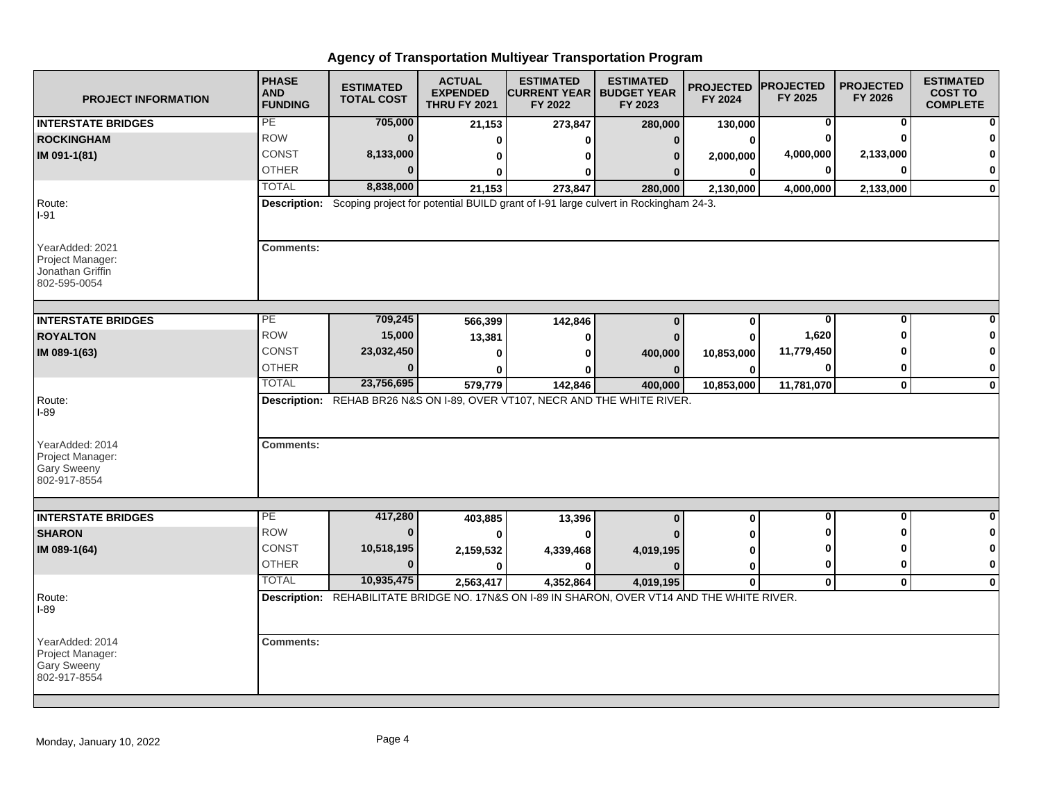| <b>PROJECT INFORMATION</b>                                                | <b>PHASE</b><br><b>AND</b><br><b>FUNDING</b> | <b>ESTIMATED</b><br><b>TOTAL COST</b> | <b>ACTUAL</b><br><b>EXPENDED</b><br><b>THRU FY 2021</b> | <b>ESTIMATED</b><br><b>CURRENT YEAR   BUDGET YEAR</b><br>FY 2022                                 | <b>ESTIMATED</b><br>FY 2023 | <b>PROJECTED</b><br>FY 2024 | <b>PROJECTED</b><br>FY 2025 | <b>PROJECTED</b><br>FY 2026 | <b>ESTIMATED</b><br><b>COST TO</b><br><b>COMPLETE</b> |
|---------------------------------------------------------------------------|----------------------------------------------|---------------------------------------|---------------------------------------------------------|--------------------------------------------------------------------------------------------------|-----------------------------|-----------------------------|-----------------------------|-----------------------------|-------------------------------------------------------|
| <b>INTERSTATE BRIDGES</b>                                                 | PE                                           | 705,000                               | 21,153                                                  | 273,847                                                                                          | 280,000                     | 130,000                     | 0                           | 0                           |                                                       |
| <b>ROCKINGHAM</b>                                                         | <b>ROW</b>                                   | $\bf{0}$                              | ŋ                                                       | U                                                                                                | $\Omega$                    | $\bf{0}$                    | 0                           | O                           |                                                       |
| IM 091-1(81)                                                              | CONST                                        | 8,133,000                             | 0                                                       | ŋ                                                                                                | $\bf{0}$                    | 2,000,000                   | 4,000,000                   | 2,133,000                   |                                                       |
|                                                                           | <b>OTHER</b>                                 | $\Omega$                              | 0                                                       | 0                                                                                                |                             | $\bf{0}$                    | 0                           | 0                           | 0                                                     |
|                                                                           | <b>TOTAL</b>                                 | 8,838,000                             | 21,153                                                  | 273,847                                                                                          | 280,000                     | 2,130,000                   | 4,000,000                   | 2,133,000                   | $\mathbf 0$                                           |
| Route:<br>$I-91$                                                          |                                              |                                       |                                                         | Description: Scoping project for potential BUILD grant of I-91 large culvert in Rockingham 24-3. |                             |                             |                             |                             |                                                       |
| YearAdded: 2021<br>Project Manager:<br>Jonathan Griffin<br>802-595-0054   | <b>Comments:</b>                             |                                       |                                                         |                                                                                                  |                             |                             |                             |                             |                                                       |
| <b>INTERSTATE BRIDGES</b>                                                 | PE                                           | 709,245                               | 566,399                                                 | 142,846                                                                                          | $\bf{0}$                    | $\bf{0}$                    | $\bf{0}$                    | $\bf{0}$                    |                                                       |
| <b>ROYALTON</b>                                                           | <b>ROW</b>                                   | 15,000                                | 13,381                                                  | $\bf{0}$                                                                                         |                             | $\bf{0}$                    | 1,620                       | ŋ                           |                                                       |
| IM 089-1(63)                                                              | <b>CONST</b>                                 | 23,032,450                            | $\bf{0}$                                                | U                                                                                                | 400,000                     | 10,853,000                  | 11,779,450                  |                             | O                                                     |
|                                                                           | <b>OTHER</b>                                 | $\bf{0}$                              |                                                         | ŋ                                                                                                | $\Omega$                    | $\bf{0}$                    | 0                           | 0                           | 0                                                     |
|                                                                           | <b>TOTAL</b>                                 | 23,756,695                            | 579,779                                                 | 142,846                                                                                          | 400,000                     | 10,853,000                  | 11,781,070                  | $\mathbf{0}$                | $\mathbf 0$                                           |
| Route:<br><b>I-89</b>                                                     |                                              |                                       |                                                         | Description: REHAB BR26 N&S ON I-89, OVER VT107, NECR AND THE WHITE RIVER.                       |                             |                             |                             |                             |                                                       |
| YearAdded: 2014<br>Project Manager:<br><b>Gary Sweeny</b><br>802-917-8554 | <b>Comments:</b>                             |                                       |                                                         |                                                                                                  |                             |                             |                             |                             |                                                       |
| <b>INTERSTATE BRIDGES</b>                                                 | PE                                           | 417,280                               |                                                         |                                                                                                  |                             |                             | 0                           | 0                           | $\bf{0}$                                              |
| <b>SHARON</b>                                                             | <b>ROW</b>                                   | $\bf{0}$                              | 403,885                                                 | 13,396<br>$\bf{0}$                                                                               | $\bf{0}$                    | $\bf{0}$                    | ŋ                           | ŋ                           | 0                                                     |
| IM 089-1(64)                                                              | <b>CONST</b>                                 | 10,518,195                            | 2,159,532                                               | 4,339,468                                                                                        | 4,019,195                   | 0                           | O                           | ŋ                           | 0                                                     |
|                                                                           | <b>OTHER</b>                                 | $\Omega$                              | <sup>0</sup>                                            | <sup>0</sup>                                                                                     |                             | 0                           | $\mathbf 0$                 | $\bf{0}$                    | $\mathbf 0$                                           |
|                                                                           | <b>TOTAL</b>                                 | 10,935,475                            | 2,563,417                                               | 4,352,864                                                                                        | 4,019,195                   | $\mathbf 0$                 | $\mathbf 0$                 | $\mathbf 0$                 | $\mathbf 0$                                           |
| Route:<br>I-89                                                            |                                              |                                       |                                                         | Description: REHABILITATE BRIDGE NO. 17N&S ON I-89 IN SHARON, OVER VT14 AND THE WHITE RIVER.     |                             |                             |                             |                             |                                                       |
| YearAdded: 2014<br>Project Manager:<br><b>Gary Sweeny</b><br>802-917-8554 | <b>Comments:</b>                             |                                       |                                                         |                                                                                                  |                             |                             |                             |                             |                                                       |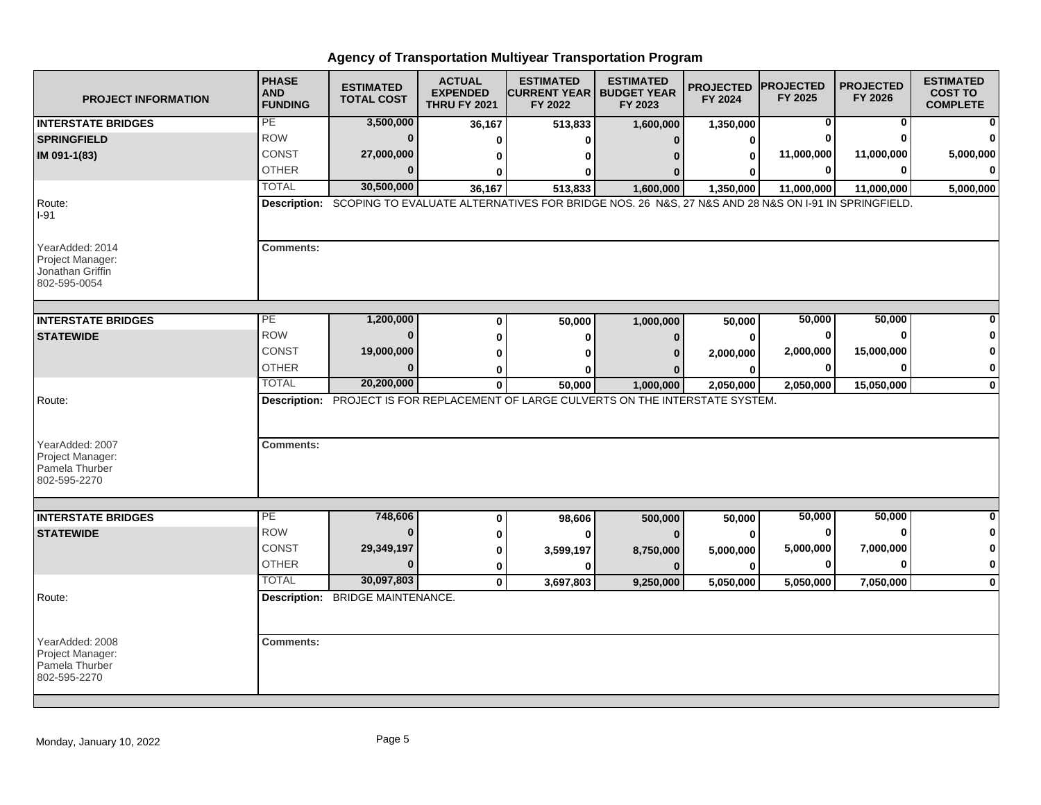| <b>PROJECT INFORMATION</b>                                                      | <b>PHASE</b><br><b>AND</b><br><b>FUNDING</b> | <b>ESTIMATED</b><br><b>TOTAL COST</b>   | <b>ACTUAL</b><br><b>EXPENDED</b><br><b>THRU FY 2021</b> | <b>ESTIMATED</b><br><b>ICURRENT YEAR   BUDGET YEAR</b><br>FY 2022                                               | <b>ESTIMATED</b><br>FY 2023 | <b>PROJECTED</b><br>FY 2024 | <b>PROJECTED</b><br>FY 2025 | <b>PROJECTED</b><br>FY 2026 | <b>ESTIMATED</b><br><b>COST TO</b><br><b>COMPLETE</b> |
|---------------------------------------------------------------------------------|----------------------------------------------|-----------------------------------------|---------------------------------------------------------|-----------------------------------------------------------------------------------------------------------------|-----------------------------|-----------------------------|-----------------------------|-----------------------------|-------------------------------------------------------|
| <b>INTERSTATE BRIDGES</b>                                                       | PE                                           | 3,500,000                               | 36,167                                                  | 513,833                                                                                                         | 1,600,000                   | 1,350,000                   | 0                           | 0                           |                                                       |
| <b>SPRINGFIELD</b>                                                              | <b>ROW</b>                                   | $\bf{0}$                                | 0                                                       |                                                                                                                 |                             | 0                           |                             | 0                           |                                                       |
| IM 091-1(83)                                                                    | <b>CONST</b>                                 | 27,000,000                              | 0                                                       |                                                                                                                 |                             | 0                           | 11,000,000                  | 11,000,000                  | 5,000,000                                             |
|                                                                                 | <b>OTHER</b>                                 |                                         | U                                                       |                                                                                                                 |                             |                             | 0                           | 0                           |                                                       |
|                                                                                 | <b>TOTAL</b>                                 | 30,500,000                              | 36,167                                                  | 513,833                                                                                                         | 1,600,000                   | 1,350,000                   | 11,000,000                  | 11,000,000                  | 5,000,000                                             |
| Route:<br>$I-91$                                                                |                                              |                                         |                                                         | Description: SCOPING TO EVALUATE ALTERNATIVES FOR BRIDGE NOS. 26 N&S, 27 N&S AND 28 N&S ON 1-91 IN SPRINGFIELD. |                             |                             |                             |                             |                                                       |
| YearAdded: 2014<br>Project Manager:<br>Jonathan Griffin<br>802-595-0054         | <b>Comments:</b>                             |                                         |                                                         |                                                                                                                 |                             |                             |                             |                             |                                                       |
| <b>INTERSTATE BRIDGES</b>                                                       | PE                                           | 1,200,000                               | 0                                                       | 50,000                                                                                                          | 1,000,000                   | 50,000                      | 50,000                      | 50,000                      |                                                       |
| <b>STATEWIDE</b>                                                                | <b>ROW</b>                                   | $\bf{0}$                                | 0                                                       | 0                                                                                                               | n                           | 0                           | 0                           | $\bf{0}$                    |                                                       |
|                                                                                 | CONST                                        | 19,000,000                              | 0                                                       |                                                                                                                 |                             | 2,000,000                   | 2,000,000                   | 15,000,000                  | n                                                     |
|                                                                                 | <b>OTHER</b>                                 | $\bf{0}$                                | 0                                                       |                                                                                                                 |                             | 0                           | 0                           | 0                           | 0                                                     |
|                                                                                 | <b>TOTAL</b>                                 | 20,200,000                              | $\bf{0}$                                                | 50,000                                                                                                          | 1,000,000                   | 2,050,000                   | 2,050,000                   | 15,050,000                  | $\mathbf 0$                                           |
| Route:<br>YearAdded: 2007<br>Project Manager:<br>Pamela Thurber<br>802-595-2270 | <b>Comments:</b>                             |                                         |                                                         | Description: PROJECT IS FOR REPLACEMENT OF LARGE CULVERTS ON THE INTERSTATE SYSTEM.                             |                             |                             |                             |                             |                                                       |
|                                                                                 |                                              |                                         |                                                         |                                                                                                                 |                             |                             |                             |                             |                                                       |
| <b>INTERSTATE BRIDGES</b>                                                       | PE                                           | 748,606                                 | 0                                                       | 98,606                                                                                                          | 500,000                     | 50,000                      | 50,000                      | 50,000                      | $\bf{0}$                                              |
| <b>STATEWIDE</b>                                                                | <b>ROW</b>                                   | $\bf{0}$                                | 0                                                       | ŋ                                                                                                               |                             | $\bf{0}$                    | 0                           | $\bf{0}$                    | 0                                                     |
|                                                                                 | <b>CONST</b>                                 | 29,349,197                              | 0                                                       | 3,599,197                                                                                                       | 8,750,000                   | 5,000,000                   | 5,000,000                   | 7,000,000                   | 0                                                     |
|                                                                                 | <b>OTHER</b>                                 | $\Omega$                                | $\bf{0}$                                                | ŋ                                                                                                               |                             | $\bf{0}$                    | 0                           | 0                           | 0                                                     |
|                                                                                 | <b>TOTAL</b>                                 | 30,097,803                              | $\mathbf{0}$                                            | 3,697,803                                                                                                       | 9,250,000                   | 5,050,000                   | 5,050,000                   | 7,050,000                   | $\mathbf{0}$                                          |
| Route:                                                                          |                                              | <b>Description: BRIDGE MAINTENANCE.</b> |                                                         |                                                                                                                 |                             |                             |                             |                             |                                                       |
|                                                                                 |                                              |                                         |                                                         |                                                                                                                 |                             |                             |                             |                             |                                                       |
| YearAdded: 2008<br>Project Manager:<br>Pamela Thurber<br>802-595-2270           | <b>Comments:</b>                             |                                         |                                                         |                                                                                                                 |                             |                             |                             |                             |                                                       |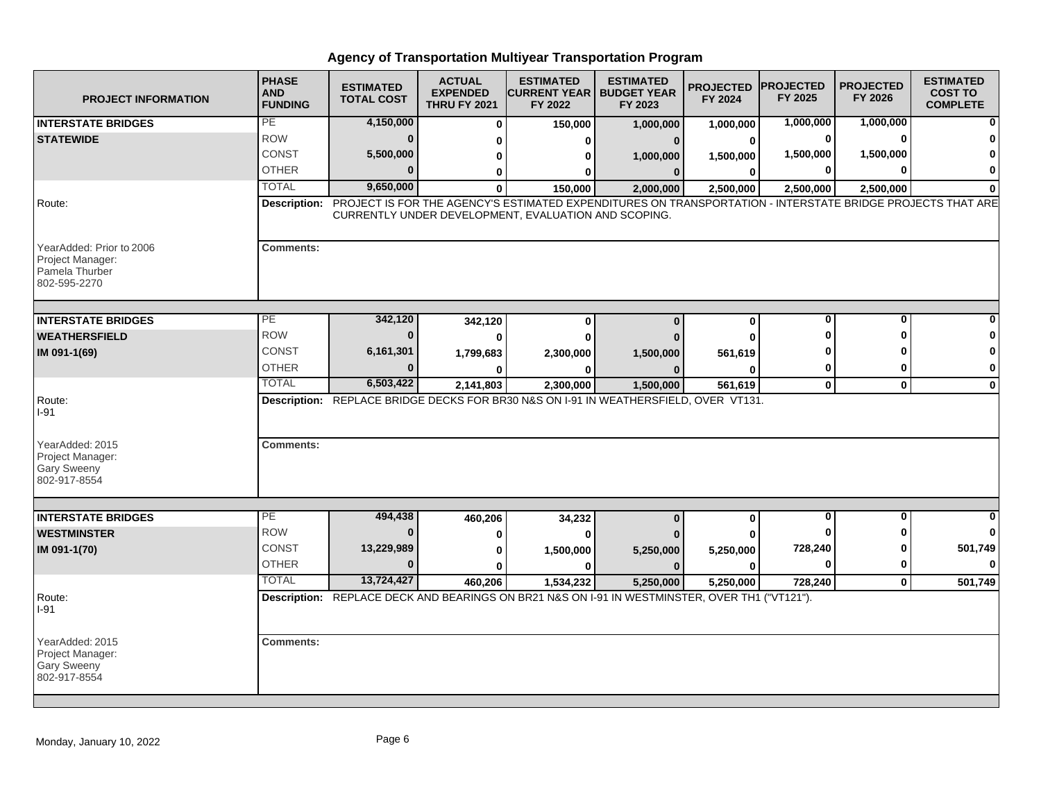| <b>PROJECT INFORMATION</b>                                                     | <b>PHASE</b><br><b>AND</b><br><b>FUNDING</b> | <b>ESTIMATED</b><br><b>TOTAL COST</b> | <b>ACTUAL</b><br><b>EXPENDED</b><br><b>THRU FY 2021</b> | <b>ESTIMATED</b><br><b>CURRENT YEAR   BUDGET YEAR</b><br>FY 2022 | <b>ESTIMATED</b><br>FY 2023                                                                                             | <b>PROJECTED</b><br>FY 2024 | <b>IPROJECTED</b><br>FY 2025 | <b>PROJECTED</b><br>FY 2026 | <b>ESTIMATED</b><br><b>COST TO</b><br><b>COMPLETE</b> |
|--------------------------------------------------------------------------------|----------------------------------------------|---------------------------------------|---------------------------------------------------------|------------------------------------------------------------------|-------------------------------------------------------------------------------------------------------------------------|-----------------------------|------------------------------|-----------------------------|-------------------------------------------------------|
| <b>INTERSTATE BRIDGES</b>                                                      | PE                                           | 4,150,000                             | $\Omega$                                                | 150,000                                                          | 1,000,000                                                                                                               | 1,000,000                   | 1,000,000                    | 1,000,000                   |                                                       |
| <b>STATEWIDE</b>                                                               | <b>ROW</b>                                   | $\Omega$                              | ŋ                                                       | o                                                                |                                                                                                                         | 0                           | 0                            | $\mathbf{0}$                |                                                       |
|                                                                                | CONST                                        | 5,500,000                             | 0                                                       | ŋ                                                                | 1,000,000                                                                                                               | 1,500,000                   | 1,500,000                    | 1,500,000                   |                                                       |
|                                                                                | <b>OTHER</b>                                 |                                       | 0                                                       |                                                                  | $\bf{0}$                                                                                                                | 0                           | 0                            | 0                           | O                                                     |
|                                                                                | <b>TOTAL</b>                                 | 9,650,000                             | $\bf{0}$                                                | 150,000                                                          | 2,000,000                                                                                                               | 2,500,000                   | 2,500,000                    | 2,500,000                   |                                                       |
| Route:                                                                         |                                              |                                       |                                                         | CURRENTLY UNDER DEVELOPMENT, EVALUATION AND SCOPING.             | Description: PROJECT IS FOR THE AGENCY'S ESTIMATED EXPENDITURES ON TRANSPORTATION - INTERSTATE BRIDGE PROJECTS THAT ARE |                             |                              |                             |                                                       |
| YearAdded: Prior to 2006<br>Project Manager:<br>Pamela Thurber<br>802-595-2270 | <b>Comments:</b>                             |                                       |                                                         |                                                                  |                                                                                                                         |                             |                              |                             |                                                       |
| <b>INTERSTATE BRIDGES</b>                                                      | PE                                           | 342,120                               | 342,120                                                 | 0                                                                | $\mathbf{0}$                                                                                                            | $\mathbf 0$                 | 0                            | 0                           | ŋ                                                     |
| <b>WEATHERSFIELD</b>                                                           | <b>ROW</b>                                   |                                       |                                                         |                                                                  |                                                                                                                         | ŋ                           | Λ                            | ŋ                           |                                                       |
| IM 091-1(69)                                                                   | <b>CONST</b>                                 | 6,161,301                             | 1,799,683                                               | 2,300,000                                                        | 1,500,000                                                                                                               | 561,619                     |                              |                             |                                                       |
|                                                                                | <b>OTHER</b>                                 |                                       |                                                         | O                                                                | $\Omega$                                                                                                                | ŋ                           | 0                            | O                           | 0                                                     |
|                                                                                | <b>TOTAL</b>                                 | 6,503,422                             | 2.141.803                                               | 2,300,000                                                        | 1,500,000                                                                                                               | 561.619                     | $\mathbf 0$                  | $\mathbf{0}$                | $\bf{0}$                                              |
| Route:<br>$I-91$                                                               |                                              |                                       |                                                         |                                                                  | Description: REPLACE BRIDGE DECKS FOR BR30 N&S ON I-91 IN WEATHERSFIELD, OVER VT131.                                    |                             |                              |                             |                                                       |
| YearAdded: 2015<br>Project Manager:<br><b>Gary Sweeny</b><br>802-917-8554      | <b>Comments:</b>                             |                                       |                                                         |                                                                  |                                                                                                                         |                             |                              |                             |                                                       |
| <b>INTERSTATE BRIDGES</b>                                                      | PE                                           | 494,438                               | 460,206                                                 | 34,232                                                           | $\bf{0}$                                                                                                                | $\bf{0}$                    | $\mathbf 0$                  | $\mathbf{0}$                |                                                       |
| <b>WESTMINSTER</b>                                                             | <b>ROW</b>                                   | $\Omega$                              |                                                         | $\Omega$                                                         |                                                                                                                         |                             |                              |                             | $\bf{0}$                                              |
| IM 091-1(70)                                                                   | <b>CONST</b>                                 | 13,229,989                            | Ω                                                       | 1,500,000                                                        | 5,250,000                                                                                                               | 5,250,000                   | 728,240                      | Λ                           | 501,749                                               |
|                                                                                | <b>OTHER</b>                                 | $\Omega$                              |                                                         |                                                                  |                                                                                                                         | Λ                           | $\mathbf{0}$                 | 0                           | $\Omega$                                              |
|                                                                                | <b>TOTAL</b>                                 | 13,724,427                            | 460,206                                                 | 1,534,232                                                        | 5,250,000                                                                                                               | 5,250,000                   | 728,240                      | $\mathbf{0}$                | 501,749                                               |
| Route:<br>$I-91$                                                               |                                              |                                       |                                                         |                                                                  | Description: REPLACE DECK AND BEARINGS ON BR21 N&S ON I-91 IN WESTMINSTER, OVER TH1 ("VT121").                          |                             |                              |                             |                                                       |
| YearAdded: 2015<br>Project Manager:<br>Gary Sweeny<br>802-917-8554             | <b>Comments:</b>                             |                                       |                                                         |                                                                  |                                                                                                                         |                             |                              |                             |                                                       |